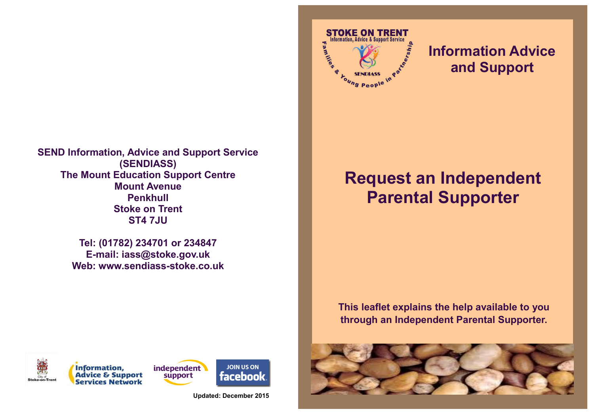

**Tel: (01782) 234701 or 234847 E-mail: iass@stoke.gov.uk Web: www.sendiass-stoke.co.uk**



**STOKE ON TRENT** nformation, Advice & Support Service

<sup>Toung</sup> People

**Milli** 

**Information Advice** 

**and Support**

**This leaflet explains the help available to you through an Independent Parental Supporter.**





**Information, Advice & Support Services Network** 



**JOIN US ON** 

facebook

**Updated: December 2015**